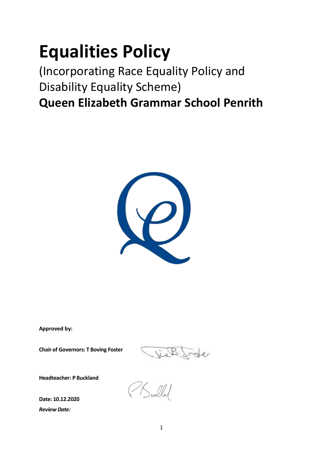# **Equalities Policy**

(Incorporating Race Equality Policy and Disability Equality Scheme) **Queen Elizabeth Grammar School Penrith**



**Approved by:**

**Chair of Governors: T Boving Foster**

ieb. Jode

**Headteacher: P Buckland** 

Julled

**Date: 10.12.2020** *Review Date:*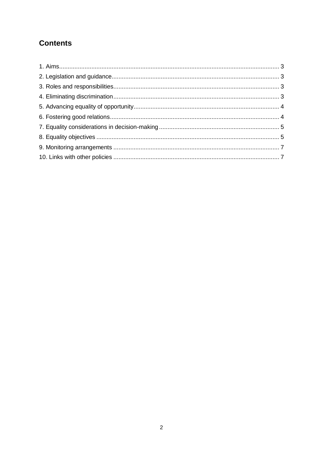# **Contents**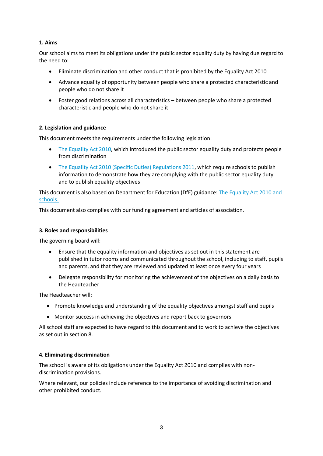# **1. Aims**

Our school aims to meet its obligations under the public sector equality duty by having due regard to the need to:

- Eliminate discrimination and other conduct that is prohibited by the Equality Act 2010
- Advance equality of opportunity between people who share a protected characteristic and people who do not share it
- Foster good relations across all characteristics between people who share a protected characteristic and people who do not share it

# **2. Legislation and guidance**

This document meets the requirements under the following legislation:

- [The Equality Act 2010,](http://www.legislation.gov.uk/ukpga/2010/15/contents) which introduced the public sector equality duty and protects people from discrimination
- [The Equality Act 2010 \(Specific Duties\) Regulations 2011,](http://www.legislation.gov.uk/uksi/2011/2260/contents/made) which require schools to publish information to demonstrate how they are complying with the public sector equality duty and to publish equality objectives

This document is also based on Department for Education (DfE) guidance[: The Equality Act 2010 and](https://www.gov.uk/government/uploads/system/uploads/attachment_data/file/315587/Equality_Act_Advice_Final.pdf)  [schools.](https://www.gov.uk/government/uploads/system/uploads/attachment_data/file/315587/Equality_Act_Advice_Final.pdf) 

This document also complies with our funding agreement and articles of association.

### **3. Roles and responsibilities**

The governing board will:

- Ensure that the equality information and objectives as set out in this statement are published in tutor rooms and communicated throughout the school, including to staff, pupils and parents, and that they are reviewed and updated at least once every four years
- Delegate responsibility for monitoring the achievement of the objectives on a daily basis to the Headteacher

The Headteacher will:

- Promote knowledge and understanding of the equality objectives amongst staff and pupils
- Monitor success in achieving the objectives and report back to governors

All school staff are expected to have regard to this document and to work to achieve the objectives as set out in section 8.

#### **4. Eliminating discrimination**

The school is aware of its obligations under the Equality Act 2010 and complies with nondiscrimination provisions.

Where relevant, our policies include reference to the importance of avoiding discrimination and other prohibited conduct.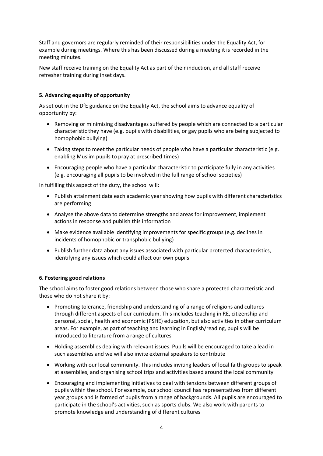Staff and governors are regularly reminded of their responsibilities under the Equality Act, for example during meetings. Where this has been discussed during a meeting it is recorded in the meeting minutes.

New staff receive training on the Equality Act as part of their induction, and all staff receive refresher training during inset days.

# **5. Advancing equality of opportunity**

As set out in the DfE guidance on the Equality Act, the school aims to advance equality of opportunity by:

- Removing or minimising disadvantages suffered by people which are connected to a particular characteristic they have (e.g. pupils with disabilities, or gay pupils who are being subjected to homophobic bullying)
- Taking steps to meet the particular needs of people who have a particular characteristic (e.g. enabling Muslim pupils to pray at prescribed times)
- Encouraging people who have a particular characteristic to participate fully in any activities (e.g. encouraging all pupils to be involved in the full range of school societies)

In fulfilling this aspect of the duty, the school will:

- Publish attainment data each academic year showing how pupils with different characteristics are performing
- Analyse the above data to determine strengths and areas for improvement, implement actions in response and publish this information
- Make evidence available identifying improvements for specific groups (e.g. declines in incidents of homophobic or transphobic bullying)
- Publish further data about any issues associated with particular protected characteristics, identifying any issues which could affect our own pupils

# **6. Fostering good relations**

The school aims to foster good relations between those who share a protected characteristic and those who do not share it by:

- Promoting tolerance, friendship and understanding of a range of religions and cultures through different aspects of our curriculum. This includes teaching in RE, citizenship and personal, social, health and economic (PSHE) education, but also activities in other curriculum areas. For example, as part of teaching and learning in English/reading, pupils will be introduced to literature from a range of cultures
- Holding assemblies dealing with relevant issues. Pupils will be encouraged to take a lead in such assemblies and we will also invite external speakers to contribute
- Working with our local community. This includes inviting leaders of local faith groups to speak at assemblies, and organising school trips and activities based around the local community
- Encouraging and implementing initiatives to deal with tensions between different groups of pupils within the school. For example, our school council has representatives from different year groups and is formed of pupils from a range of backgrounds. All pupils are encouraged to participate in the school's activities, such as sports clubs. We also work with parents to promote knowledge and understanding of different cultures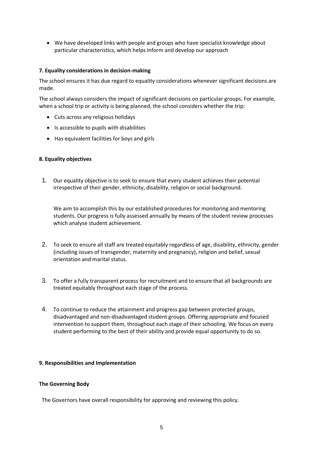We have developed links with people and groups who have specialist knowledge about particular characteristics, which helps inform and develop our approach

#### **7. Equality considerations in decision-making**

The school ensures it has due regard to equality considerations whenever significant decisions are made.

The school always considers the impact of significant decisions on particular groups. For example, when a school trip or activity is being planned, the school considers whether the trip:

- Cuts across any religious holidays
- $\bullet$  Is accessible to pupils with disabilities
- Has equivalent facilities for boys and girls

#### **8. Equality objectives**

1. Our equality objective is to seek to ensure that every student achieves their potential irrespective of their gender, ethnicity, disability, religion or social background.

We aim to accomplish this by our established procedures for monitoring and mentoring students. Our progress is fully assessed annually by means of the student review processes which analyse student achievement.

- 2. To seek to ensure all staff are treated equitably regardless of age, disability, ethnicity, gender (including issues of transgender, maternity and pregnancy), religion and belief, sexual orientation and marital status.
- 3. To offer a fully transparent process for recruitment and to ensure that all backgrounds are treated equitably throughout each stage of the process.
- 4. To continue to reduce the attainment and progress gap between protected groups, disadvantaged and non-disadvantaged student groups. Offering appropriate and focused intervention to support them, throughout each stage of their schooling. We focus on every student performing to the best of their ability and provide equal opportunity to do so.

#### **9. Responsibilities and Implementation**

#### **The Governing Body**

The Governors have overall responsibility for approving and reviewing this policy.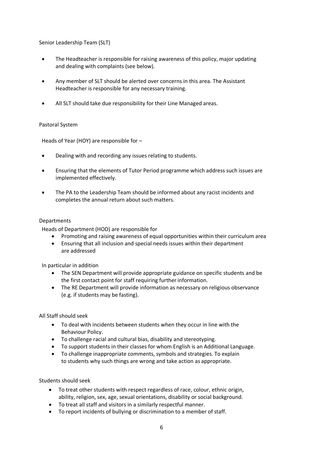Senior Leadership Team (SLT)

- The Headteacher is responsible for raising awareness of this policy, major updating and dealing with complaints (see below).
- Any member of SLT should be alerted over concerns in this area. The Assistant Headteacher is responsible for any necessary training.
- All SLT should take due responsibility for their Line Managed areas.

#### Pastoral System

Heads of Year (HOY) are responsible for –

- Dealing with and recording any issues relating to students.
- Ensuring that the elements of Tutor Period programme which address such issues are implemented effectively.
- The PA to the Leadership Team should be informed about any racist incidents and completes the annual return about such matters.

#### Departments

Heads of Department (HOD) are responsible for

- Promoting and raising awareness of equal opportunities within their curriculum area
- Ensuring that all inclusion and special needs issues within their department are addressed

In particular in addition

- The SEN Department will provide appropriate guidance on specific students and be the first contact point for staff requiring further information.
- The RE Department will provide information as necessary on religious observance (e.g. if students may be fasting).

All Staff should seek

- To deal with incidents between students when they occur in line with the Behaviour Policy.
- To challenge racial and cultural bias, disability and stereotyping.
- To support students in their classes for whom English is an Additional Language.
- To challenge inappropriate comments, symbols and strategies. To explain to students why such things are wrong and take action as appropriate.

Students should seek

- To treat other students with respect regardless of race, colour, ethnic origin, ability, religion, sex, age, sexual orientations, disability or social background.
- To treat all staff and visitors in a similarly respectful manner.
- To report incidents of bullying or discrimination to a member of staff.